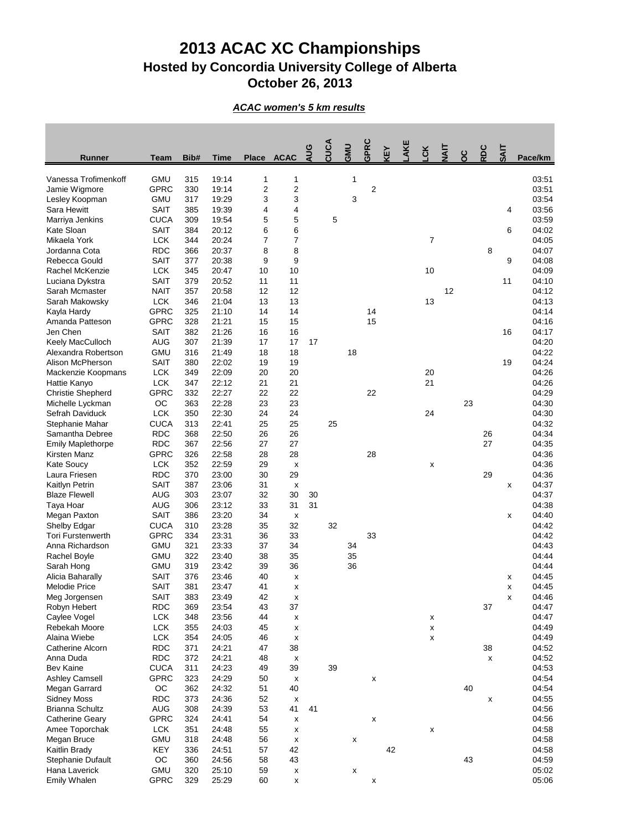## **2013 ACAC XC Championships Hosted by Concordia University College of Alberta October 26, 2013**

*ACAC women's 5 km results*

| <b>Runner</b>                          | <b>Team</b>               | Bib#       | <b>Time</b>    | <b>Place</b>   | <b>ACAC</b>        | AUG      | CUCA | <b>GMU</b>         | GPRC           | <b>KEY</b> | AKE | $\mathbf{R}$   | <b>HAIT</b> | ပ္ပ | RDC | <b>TIVS</b> | Pace/km        |
|----------------------------------------|---------------------------|------------|----------------|----------------|--------------------|----------|------|--------------------|----------------|------------|-----|----------------|-------------|-----|-----|-------------|----------------|
| Vanessa Trofimenkoff                   | <b>GMU</b>                | 315        | 19:14          | 1              | 1                  |          |      | 1                  |                |            |     |                |             |     |     |             | 03:51          |
| Jamie Wigmore                          | <b>GPRC</b>               | 330        | 19:14          | $\overline{c}$ | $\overline{2}$     |          |      |                    | $\overline{2}$ |            |     |                |             |     |     |             | 03:51          |
| Lesley Koopman                         | <b>GMU</b>                | 317        | 19:29          | 3              | 3                  |          |      | 3                  |                |            |     |                |             |     |     |             | 03:54          |
| Sara Hewitt                            | <b>SAIT</b>               | 385        | 19:39          | 4              | 4                  |          |      |                    |                |            |     |                |             |     |     | 4           | 03:56          |
| Marriya Jenkins                        | <b>CUCA</b>               | 309        | 19:54          | 5              | 5                  |          | 5    |                    |                |            |     |                |             |     |     |             | 03:59          |
| Kate Sloan                             | <b>SAIT</b>               | 384        | 20:12          | 6              | 6                  |          |      |                    |                |            |     |                |             |     |     | 6           | 04:02          |
| Mikaela York                           | <b>LCK</b>                | 344        | 20:24          | 7              | 7                  |          |      |                    |                |            |     | $\overline{7}$ |             |     |     |             | 04:05          |
| Jordanna Cota                          | <b>RDC</b>                | 366        | 20:37          | 8              | 8                  |          |      |                    |                |            |     |                |             |     | 8   |             | 04:07          |
| Rebecca Gould                          | <b>SAIT</b>               | 377        | 20:38          | 9              | 9                  |          |      |                    |                |            |     |                |             |     |     | 9           | 04:08          |
| Rachel McKenzie                        | <b>LCK</b>                | 345        | 20:47          | 10             | 10                 |          |      |                    |                |            |     | 10             |             |     |     |             | 04:09          |
| Luciana Dykstra                        | <b>SAIT</b>               | 379        | 20:52          | 11             | 11                 |          |      |                    |                |            |     |                |             |     |     | 11          | 04:10          |
| Sarah Mcmaster                         | <b>NAIT</b>               | 357        | 20:58          | 12             | 12                 |          |      |                    |                |            |     |                | 12          |     |     |             | 04:12          |
| Sarah Makowsky                         | <b>LCK</b>                | 346        | 21:04          | 13             | 13                 |          |      |                    |                |            |     | 13             |             |     |     |             | 04:13          |
| Kayla Hardy                            | <b>GPRC</b>               | 325        | 21:10          | 14             | 14                 |          |      |                    | 14             |            |     |                |             |     |     |             | 04:14          |
| Amanda Patteson                        | <b>GPRC</b>               | 328        | 21:21          | 15             | 15                 |          |      |                    | 15             |            |     |                |             |     |     |             | 04:16          |
| Jen Chen                               | <b>SAIT</b>               | 382        | 21:26          | 16             | 16                 |          |      |                    |                |            |     |                |             |     |     | 16          | 04:17          |
| Keely MacCulloch                       | <b>AUG</b>                | 307        | 21:39          | 17             | 17                 | 17       |      |                    |                |            |     |                |             |     |     |             | 04:20          |
| Alexandra Robertson                    | <b>GMU</b>                | 316        | 21:49          | 18             | 18                 |          |      | 18                 |                |            |     |                |             |     |     |             | 04:22          |
| Alison McPherson                       | <b>SAIT</b>               | 380        | 22:02          | 19             | 19                 |          |      |                    |                |            |     |                |             |     |     | 19          | 04:24          |
| Mackenzie Koopmans                     | <b>LCK</b>                | 349        | 22:09          | 20             | 20                 |          |      |                    |                |            |     | 20             |             |     |     |             | 04:26          |
| Hattie Kanyo                           | <b>LCK</b>                | 347        | 22:12          | 21             | 21                 |          |      |                    |                |            |     | 21             |             |     |     |             | 04:26          |
| <b>Christie Shepherd</b>               | <b>GPRC</b>               | 332        | 22:27          | 22             | 22                 |          |      |                    | 22             |            |     |                |             |     |     |             | 04:29          |
| Michelle Lyckman                       | OC                        | 363        | 22:28          | 23             | 23                 |          |      |                    |                |            |     |                |             | 23  |     |             | 04:30          |
| Sefrah Daviduck                        | <b>LCK</b>                | 350        | 22:30          | 24             | 24                 |          |      |                    |                |            |     | 24             |             |     |     |             | 04:30          |
| Stephanie Mahar                        | <b>CUCA</b>               | 313        | 22:41          | 25             | 25                 |          | 25   |                    |                |            |     |                |             |     |     |             | 04:32          |
| Samantha Debree                        | <b>RDC</b>                | 368        | 22:50          | 26             | 26                 |          |      |                    |                |            |     |                |             |     | 26  |             | 04:34          |
| <b>Emily Maplethorpe</b>               | <b>RDC</b>                | 367        | 22:56          | 27             | 27                 |          |      |                    |                |            |     |                |             |     | 27  |             | 04:35          |
| Kirsten Manz                           | <b>GPRC</b>               | 326        | 22:58          | 28             | 28                 |          |      |                    | 28             |            |     |                |             |     |     |             | 04:36          |
| <b>Kate Soucy</b>                      | <b>LCK</b>                | 352        | 22:59          | 29             | X                  |          |      |                    |                |            |     | X              |             |     |     |             | 04:36          |
| Laura Friesen                          | <b>RDC</b><br><b>SAIT</b> | 370<br>387 | 23:00<br>23:06 | 30<br>31       | 29                 |          |      |                    |                |            |     |                |             |     | 29  |             | 04:36<br>04:37 |
| Kaitlyn Petrin<br><b>Blaze Flewell</b> | <b>AUG</b>                | 303        | 23:07          | 32             | X<br>30            |          |      |                    |                |            |     |                |             |     |     | х           | 04:37          |
| Taya Hoar                              | <b>AUG</b>                | 306        | 23:12          | 33             | 31                 | 30<br>31 |      |                    |                |            |     |                |             |     |     |             | 04:38          |
| Megan Paxton                           | <b>SAIT</b>               | 386        | 23:20          | 34             | X                  |          |      |                    |                |            |     |                |             |     |     | X           | 04:40          |
| Shelby Edgar                           | <b>CUCA</b>               | 310        | 23:28          | 35             | 32                 |          | 32   |                    |                |            |     |                |             |     |     |             | 04:42          |
| <b>Tori Furstenwerth</b>               | <b>GPRC</b>               | 334        | 23:31          | 36             | 33                 |          |      |                    | 33             |            |     |                |             |     |     |             | 04:42          |
| Anna Richardson                        | <b>GMU</b>                | 321        | 23:33          | 37             | 34                 |          |      | 34                 |                |            |     |                |             |     |     |             | 04:43          |
| Rachel Boyle                           | <b>GMU</b>                | 322        | 23:40          | 38             | 35                 |          |      | 35                 |                |            |     |                |             |     |     |             | 04:44          |
| Sarah Hong                             | <b>GMU</b>                | 319        | 23:42          | 39             | 36                 |          |      | 36                 |                |            |     |                |             |     |     |             | 04:44          |
| Alicia Baharally                       | <b>SAIT</b>               | 376        | 23:46          | 40             | X                  |          |      |                    |                |            |     |                |             |     |     | X           | 04:45          |
| <b>Melodie Price</b>                   | <b>SAIT</b>               | 381        | 23:47          | 41             | X                  |          |      |                    |                |            |     |                |             |     |     | X           | 04:45          |
| Meg Jorgensen                          | <b>SAIT</b>               | 383        | 23:49          | 42             | X                  |          |      |                    |                |            |     |                |             |     |     | X           | 04:46          |
| Robyn Hebert                           | <b>RDC</b>                | 369        | 23:54          | 43             | 37                 |          |      |                    |                |            |     |                |             |     | 37  |             | 04:47          |
| Caylee Vogel                           | <b>LCK</b>                | 348        | 23:56          | 44             | X                  |          |      |                    |                |            |     | X              |             |     |     |             | 04:47          |
| Rebekah Moore                          | <b>LCK</b>                | 355        | 24:03          | 45             | $\pmb{\mathsf{X}}$ |          |      |                    |                |            |     | X              |             |     |     |             | 04:49          |
| Alaina Wiebe                           | <b>LCK</b>                | 354        | 24:05          | 46             | X                  |          |      |                    |                |            |     | X              |             |     |     |             | 04:49          |
| <b>Catherine Alcorn</b>                | <b>RDC</b>                | 371        | 24:21          | 47             | 38                 |          |      |                    |                |            |     |                |             |     | 38  |             | 04:52          |
| Anna Duda                              | <b>RDC</b>                | 372        | 24:21          | 48             | X                  |          |      |                    |                |            |     |                |             |     | X   |             | 04:52          |
| <b>Bev Kaine</b>                       | <b>CUCA</b>               | 311        | 24:23          | 49             | 39                 |          | 39   |                    |                |            |     |                |             |     |     |             | 04:53          |
| <b>Ashley Camsell</b>                  | <b>GPRC</b>               | 323        | 24:29          | 50             | X                  |          |      |                    | X              |            |     |                |             |     |     |             | 04:54          |
| Megan Garrard                          | OC                        | 362        | 24:32          | 51             | 40                 |          |      |                    |                |            |     |                |             | 40  |     |             | 04:54          |
| <b>Sidney Moss</b>                     | <b>RDC</b>                | 373        | 24:36          | 52             | $\pmb{\mathsf{X}}$ |          |      |                    |                |            |     |                |             |     | X   |             | 04:55          |
| <b>Brianna Schultz</b>                 | <b>AUG</b>                | 308        | 24:39          | 53             | 41                 | 41       |      |                    |                |            |     |                |             |     |     |             | 04:56          |
| <b>Catherine Geary</b>                 | <b>GPRC</b>               | 324        | 24:41          | 54             | $\pmb{\mathsf{X}}$ |          |      |                    | X              |            |     |                |             |     |     |             | 04:56          |
| Amee Toporchak                         | <b>LCK</b>                | 351        | 24:48          | 55             | X                  |          |      |                    |                |            |     | X              |             |     |     |             | 04:58          |
| Megan Bruce                            | <b>GMU</b>                | 318        | 24:48          | 56             | X                  |          |      | $\pmb{\mathsf{x}}$ |                |            |     |                |             |     |     |             | 04:58          |
| Kaitlin Brady                          | <b>KEY</b>                | 336        | 24:51          | 57             | 42                 |          |      |                    |                | 42         |     |                |             |     |     |             | 04:58          |
| Stephanie Dufault                      | OC                        | 360        | 24:56          | 58             | 43                 |          |      |                    |                |            |     |                |             | 43  |     |             | 04:59          |
| Hana Laverick                          | <b>GMU</b>                | 320        | 25:10          | 59             | X                  |          |      | $\pmb{\mathsf{x}}$ |                |            |     |                |             |     |     |             | 05:02          |
| <b>Emily Whalen</b>                    | <b>GPRC</b>               | 329        | 25:29          | 60             | $\pmb{\mathsf{x}}$ |          |      |                    | X              |            |     |                |             |     |     |             | 05:06          |